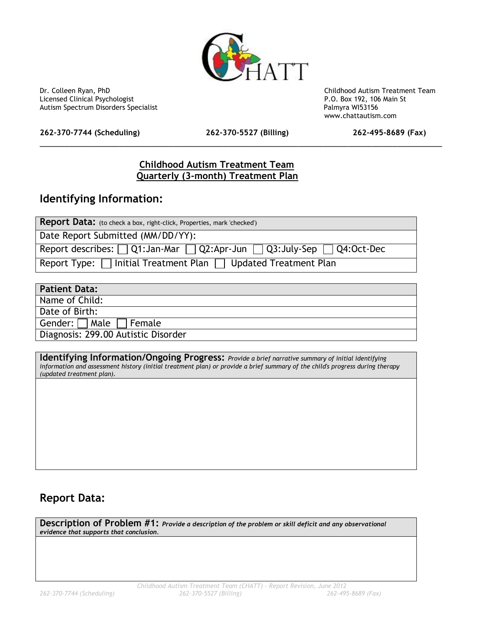

Dr. Colleen Ryan, PhD<br>
Licensed Clinical Psychologist<br>
Licensed Clinical Psychologist<br>
Childhood Autism Treatment Team<br>
P.O. Box 192, 106 Main St Licensed Clinical Psychologist and the state of the state of the state of the P.O. Box 192, 106 Main Spectrum Disorders Specialist and the State of the Palmyra WI53156 Autism Spectrum Disorders Specialist

**262-370-7744 (Scheduling) 262-370-5527 (Billing) 262-495-8689 (Fax)**

\_\_\_\_\_\_\_\_\_\_\_\_\_\_\_\_\_\_\_\_\_\_\_\_\_\_\_\_\_\_\_\_\_\_\_\_\_\_\_\_\_\_\_\_\_\_\_\_\_\_\_\_\_\_\_\_\_\_\_\_\_\_\_\_\_\_\_\_\_\_\_\_\_\_\_\_\_\_\_\_\_

www.chattautism.com

#### **Childhood Autism Treatment Team Quarterly (3-month) Treatment Plan**

#### **Identifying Information:**

|  | <b>Patient Data:</b> |  |
|--|----------------------|--|
|  |                      |  |

Name of Child:

Date of Birth:

Gender: Male Female

Diagnosis: 299.00 Autistic Disorder

**Identifying Information/Ongoing Progress:** *Provide a brief narrative summary of initial identifying information and assessment history (initial treatment plan) or provide a brief summary of the child's progress during therapy (updated treatment plan).*

### **Report Data:**

**Description of Problem #1:** *Provide a description of the problem or skill deficit and any observational evidence that supports that conclusion.*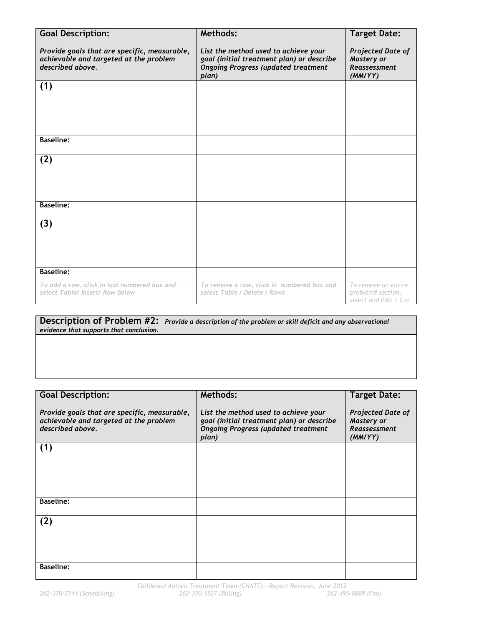| <b>Goal Description:</b>                                                                                   | <b>Methods:</b>                                                                                                                          | <b>Target Date:</b>                                               |
|------------------------------------------------------------------------------------------------------------|------------------------------------------------------------------------------------------------------------------------------------------|-------------------------------------------------------------------|
| Provide goals that are specific, measurable,<br>achievable and targeted at the problem<br>described above. | List the method used to achieve your<br>goal (initial treatment plan) or describe<br><b>Ongoing Progress (updated treatment</b><br>plan) | Projected Date of<br>Mastery or<br><b>Reassessment</b><br>(MMYYY) |
| (1)                                                                                                        |                                                                                                                                          |                                                                   |
|                                                                                                            |                                                                                                                                          |                                                                   |
|                                                                                                            |                                                                                                                                          |                                                                   |
|                                                                                                            |                                                                                                                                          |                                                                   |
| <b>Baseline:</b>                                                                                           |                                                                                                                                          |                                                                   |
| (2)                                                                                                        |                                                                                                                                          |                                                                   |
|                                                                                                            |                                                                                                                                          |                                                                   |
|                                                                                                            |                                                                                                                                          |                                                                   |
| <b>Baseline:</b>                                                                                           |                                                                                                                                          |                                                                   |
| (3)                                                                                                        |                                                                                                                                          |                                                                   |
|                                                                                                            |                                                                                                                                          |                                                                   |
|                                                                                                            |                                                                                                                                          |                                                                   |
| <b>Baseline:</b>                                                                                           |                                                                                                                                          |                                                                   |
|                                                                                                            |                                                                                                                                          |                                                                   |
| To add a row, click in last numbered box and<br>select Table/ Insert/ Row Below                            | To remove a row, click in numbered box and<br>select Table / Delete / Rows                                                               | To remove an entire<br>problem# section,<br>select and Edit / Cut |

**Description of Problem #2:** *Provide a description of the problem or skill deficit and any observational evidence that supports that conclusion.*

| <b>Goal Description:</b>                     | Methods:                                   | <b>Target Date:</b>      |
|----------------------------------------------|--------------------------------------------|--------------------------|
|                                              |                                            |                          |
| Provide goals that are specific, measurable, | List the method used to achieve your       | <b>Projected Date of</b> |
| achievable and targeted at the problem       | goal (initial treatment plan) or describe  | <b>Mastery or</b>        |
| described above.                             | <b>Ongoing Progress (updated treatment</b> | <b>Reassessment</b>      |
|                                              | plan)                                      | (MMYYY)                  |
| (1)                                          |                                            |                          |
|                                              |                                            |                          |
|                                              |                                            |                          |
|                                              |                                            |                          |
|                                              |                                            |                          |
| <b>Baseline:</b>                             |                                            |                          |
|                                              |                                            |                          |
| (2)                                          |                                            |                          |
|                                              |                                            |                          |
|                                              |                                            |                          |
|                                              |                                            |                          |
|                                              |                                            |                          |
| <b>Baseline:</b>                             |                                            |                          |
|                                              |                                            |                          |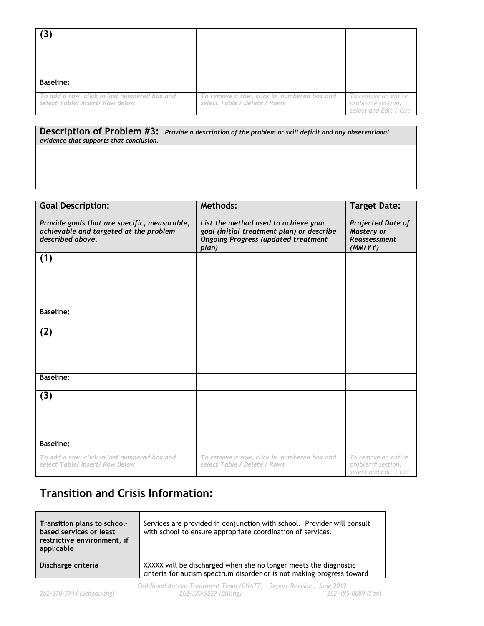| <b>Baseline:</b>                                                                |                                                                            |                                                                   |
|---------------------------------------------------------------------------------|----------------------------------------------------------------------------|-------------------------------------------------------------------|
| To add a row, click in last numbered box and<br>select Table/ Insert/ Row Below | To remove a row, click in numbered box and<br>select Table / Delete / Rows | To remove an entire<br>problem# section,<br>select and Edit / Cut |

**Description of Problem #3:** *Provide a description of the problem or skill deficit and any observational evidence that supports that conclusion.*

| <b>Goal Description:</b>                                                                                   | Methods:                                                                                                                                 | <b>Target Date:</b>                                               |
|------------------------------------------------------------------------------------------------------------|------------------------------------------------------------------------------------------------------------------------------------------|-------------------------------------------------------------------|
|                                                                                                            |                                                                                                                                          |                                                                   |
| Provide goals that are specific, measurable,<br>achievable and targeted at the problem<br>described above. | List the method used to achieve your<br>goal (initial treatment plan) or describe<br><b>Ongoing Progress (updated treatment</b><br>plan) | Projected Date of<br>Mastery or<br><b>Reassessment</b><br>(MMYYY) |
| (1)                                                                                                        |                                                                                                                                          |                                                                   |
|                                                                                                            |                                                                                                                                          |                                                                   |
|                                                                                                            |                                                                                                                                          |                                                                   |
|                                                                                                            |                                                                                                                                          |                                                                   |
|                                                                                                            |                                                                                                                                          |                                                                   |
| <b>Baseline:</b>                                                                                           |                                                                                                                                          |                                                                   |
|                                                                                                            |                                                                                                                                          |                                                                   |
| (2)                                                                                                        |                                                                                                                                          |                                                                   |
|                                                                                                            |                                                                                                                                          |                                                                   |
|                                                                                                            |                                                                                                                                          |                                                                   |
|                                                                                                            |                                                                                                                                          |                                                                   |
|                                                                                                            |                                                                                                                                          |                                                                   |
| <b>Baseline:</b>                                                                                           |                                                                                                                                          |                                                                   |
|                                                                                                            |                                                                                                                                          |                                                                   |
| (3)                                                                                                        |                                                                                                                                          |                                                                   |
|                                                                                                            |                                                                                                                                          |                                                                   |
|                                                                                                            |                                                                                                                                          |                                                                   |
|                                                                                                            |                                                                                                                                          |                                                                   |
|                                                                                                            |                                                                                                                                          |                                                                   |
| <b>Baseline:</b>                                                                                           |                                                                                                                                          |                                                                   |
| To add a row, click in last numbered box and                                                               | To remove a row, click in numbered box and                                                                                               | To remove an entire                                               |
| select Table/ Insert/ Row Below                                                                            | select Table / Delete / Rows                                                                                                             | problem# section,<br>select and Edit / Cut                        |

## **Transition and Crisis Information:**

| Transition plans to school-<br>based services or least<br>restrictive environment, if<br>applicable | Services are provided in conjunction with school. Provider will consult<br>with school to ensure appropriate coordination of services.     |
|-----------------------------------------------------------------------------------------------------|--------------------------------------------------------------------------------------------------------------------------------------------|
| Discharge criteria                                                                                  | XXXXX will be discharged when she no longer meets the diagnostic<br>criteria for autism spectrum disorder or is not making progress toward |
|                                                                                                     | $Childhood$ Autism Treatment Team $(CHATT)$ . Report Revision Lupe 2012                                                                    |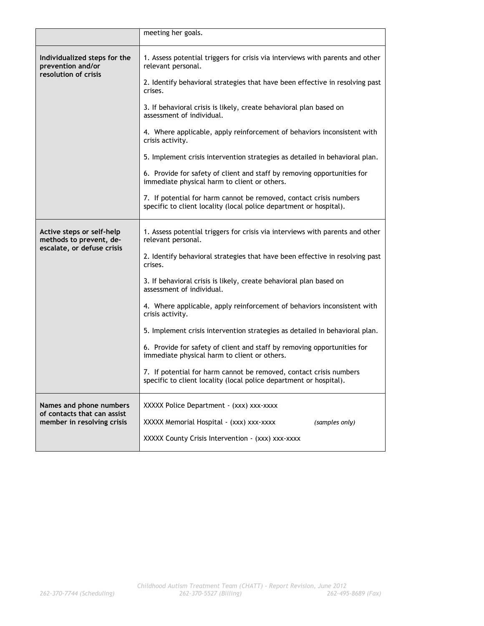|                                                                                    | meeting her goals.                                                                                                                       |
|------------------------------------------------------------------------------------|------------------------------------------------------------------------------------------------------------------------------------------|
| Individualized steps for the<br>prevention and/or<br>resolution of crisis          | 1. Assess potential triggers for crisis via interviews with parents and other<br>relevant personal.                                      |
|                                                                                    | 2. Identify behavioral strategies that have been effective in resolving past<br>crises.                                                  |
|                                                                                    | 3. If behavioral crisis is likely, create behavioral plan based on<br>assessment of individual.                                          |
|                                                                                    | 4. Where applicable, apply reinforcement of behaviors inconsistent with<br>crisis activity.                                              |
|                                                                                    | 5. Implement crisis intervention strategies as detailed in behavioral plan.                                                              |
|                                                                                    | 6. Provide for safety of client and staff by removing opportunities for<br>immediate physical harm to client or others.                  |
|                                                                                    | 7. If potential for harm cannot be removed, contact crisis numbers<br>specific to client locality (local police department or hospital). |
| Active steps or self-help<br>methods to prevent, de-<br>escalate, or defuse crisis | 1. Assess potential triggers for crisis via interviews with parents and other<br>relevant personal.                                      |
|                                                                                    | 2. Identify behavioral strategies that have been effective in resolving past<br>crises.                                                  |
|                                                                                    | 3. If behavioral crisis is likely, create behavioral plan based on<br>assessment of individual.                                          |
|                                                                                    | 4. Where applicable, apply reinforcement of behaviors inconsistent with<br>crisis activity.                                              |
|                                                                                    | 5. Implement crisis intervention strategies as detailed in behavioral plan.                                                              |
|                                                                                    | 6. Provide for safety of client and staff by removing opportunities for<br>immediate physical harm to client or others.                  |
|                                                                                    | 7. If potential for harm cannot be removed, contact crisis numbers<br>specific to client locality (local police department or hospital). |
| Names and phone numbers<br>of contacts that can assist                             | XXXXX Police Department - (xxx) xxx-xxxx                                                                                                 |
| member in resolving crisis                                                         | XXXXX Memorial Hospital - (xxx) xxx-xxxx<br>(samples only)                                                                               |
|                                                                                    | XXXXX County Crisis Intervention - (xxx) xxx-xxxx                                                                                        |